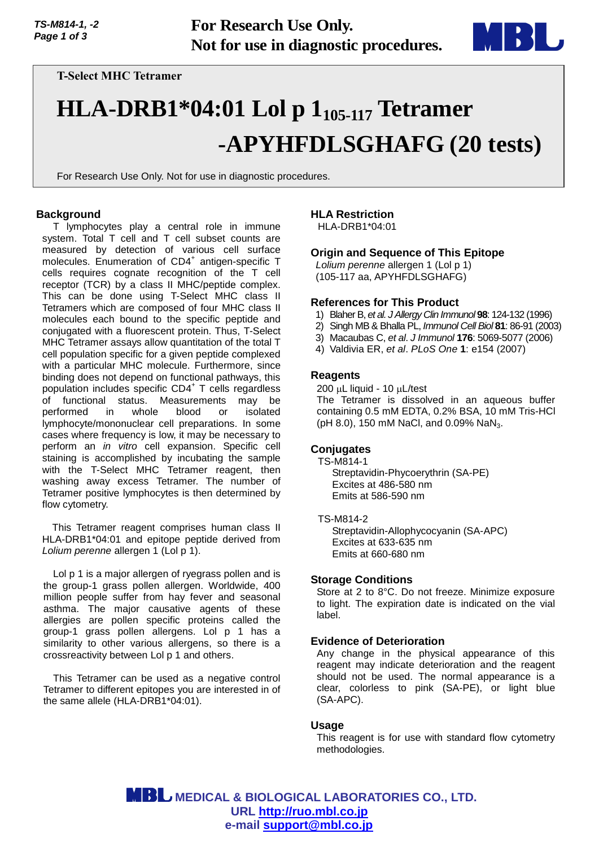

**T-Select MHC Tetramer**

# **HLA-DRB1\*04:01 Lol p 1105-117 Tetramer -APYHFDLSGHAFG (20 tests)**

For Research Use Only. Not for use in diagnostic procedures.

# **Background**

T lymphocytes play a central role in immune system. Total T cell and T cell subset counts are measured by detection of various cell surface molecules. Enumeration of CD4<sup>+</sup> antigen-specific T cells requires cognate recognition of the T cell receptor (TCR) by a class II MHC/peptide complex. This can be done using T-Select MHC class II Tetramers which are composed of four MHC class II molecules each bound to the specific peptide and conjugated with a fluorescent protein. Thus, T-Select MHC Tetramer assays allow quantitation of the total T cell population specific for a given peptide complexed with a particular MHC molecule. Furthermore, since binding does not depend on functional pathways, this population includes specific CD4<sup>+</sup> T cells regardless of functional status. Measurements may be performed in whole blood or isolated lymphocyte/mononuclear cell preparations. In some cases where frequency is low, it may be necessary to perform an *in vitro* cell expansion. Specific cell staining is accomplished by incubating the sample with the T-Select MHC Tetramer reagent, then washing away excess Tetramer. The number of Tetramer positive lymphocytes is then determined by flow cytometry.

This Tetramer reagent comprises human class II HLA-DRB1\*04:01 and epitope peptide derived from *Lolium perenne* allergen 1 (Lol p 1).

Lol p 1 is a major allergen of ryegrass pollen and is the group-1 grass pollen allergen. Worldwide, 400 million people suffer from hay fever and seasonal asthma. The major causative agents of these allergies are pollen specific proteins called the group-1 grass pollen allergens. Lol p 1 has a similarity to other various allergens, so there is a crossreactivity between Lol p 1 and others.

This Tetramer can be used as a negative control Tetramer to different epitopes you are interested in of the same allele (HLA-DRB1\*04:01).

# **HLA Restriction**

HLA-DRB1\*04:01

## **Origin and Sequence of This Epitope**

*Lolium perenne* allergen 1 (Lol p 1) (105-117 aa, APYHFDLSGHAFG)

## **References for This Product**

- 1) Blaher B, *et al. J Allergy Clin Immunol* **98**: 124-132 (1996)
- 2) Singh MB & Bhalla PL, *Immunol Cell Biol* **81**: 86-91 (2003)
- 3) Macaubas C, *et al*. *J Immunol* **176**: 5069-5077 (2006)
- 4) Valdivia ER, *et al*. *PLoS One* **1**: e154 (2007)

## **Reagents**

 $200 \mu L$  liquid - 10  $\mu L$ /test The Tetramer is dissolved in an aqueous buffer containing 0.5 mM EDTA, 0.2% BSA, 10 mM Tris-HCl (pH 8.0), 150 mM NaCl, and 0.09% NaN<sub>3</sub>.

## **Conjugates**

TS-M814-1

Streptavidin-Phycoerythrin (SA-PE) Excites at 486-580 nm Emits at 586-590 nm

### TS-M814-2

Streptavidin-Allophycocyanin (SA-APC) Excites at 633-635 nm Emits at 660-680 nm

### **Storage Conditions**

Store at 2 to 8°C. Do not freeze. Minimize exposure to light. The expiration date is indicated on the vial label.

### **Evidence of Deterioration**

Any change in the physical appearance of this reagent may indicate deterioration and the reagent should not be used. The normal appearance is a clear, colorless to pink (SA-PE), or light blue (SA-APC).

### **Usage**

This reagent is for use with standard flow cytometry methodologies.

 **MEDICAL & BIOLOGICAL LABORATORIES CO., LTD. URL [http://ruo.mbl.co.jp](https://ruo.mbl.co.jp/) e-mail [support@mbl.co.jp](mailto:support@mbl.co.jp)**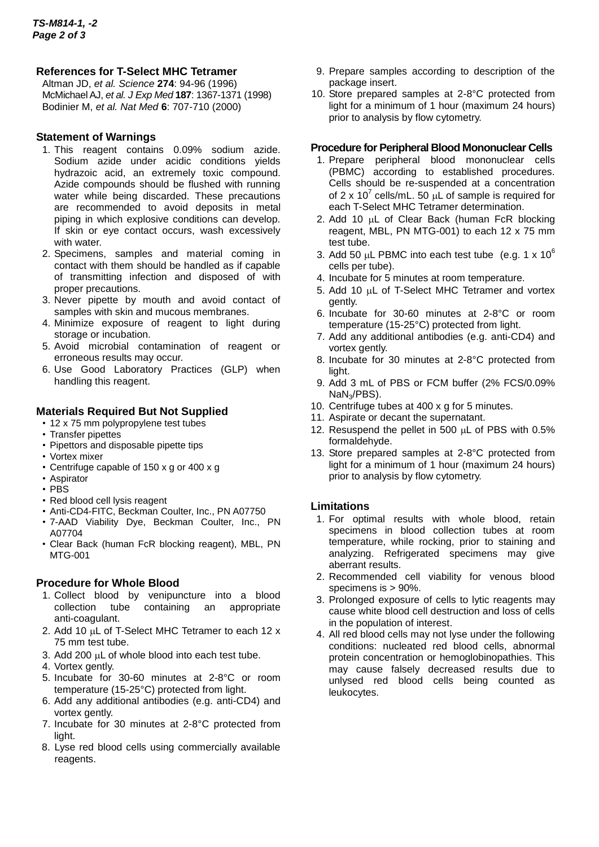# **References for T-Select MHC Tetramer**

Altman JD, *et al. Science* **274**: 94-96 (1996) McMichael AJ, *et al. J Exp Med* **187**: 1367-1371 (1998) Bodinier M, *et al. Nat Med* **6**: 707-710 (2000)

# **Statement of Warnings**

- 1. This reagent contains 0.09% sodium azide. Sodium azide under acidic conditions yields hydrazoic acid, an extremely toxic compound. Azide compounds should be flushed with running water while being discarded. These precautions are recommended to avoid deposits in metal piping in which explosive conditions can develop. If skin or eye contact occurs, wash excessively with water.
- 2. Specimens, samples and material coming in contact with them should be handled as if capable of transmitting infection and disposed of with proper precautions.
- 3. Never pipette by mouth and avoid contact of samples with skin and mucous membranes.
- 4. Minimize exposure of reagent to light during storage or incubation.
- 5. Avoid microbial contamination of reagent or erroneous results may occur.
- 6. Use Good Laboratory Practices (GLP) when handling this reagent.

# **Materials Required But Not Supplied**

- 12 x 75 mm polypropylene test tubes
- Transfer pipettes
- Pipettors and disposable pipette tips
- Vortex mixer
- Centrifuge capable of 150 x g or 400 x g
- Aspirator
- PBS
- Red blood cell lysis reagent
- Anti-CD4-FITC, Beckman Coulter, Inc., PN A07750
- 7-AAD Viability Dye, Beckman Coulter, Inc., PN A07704
- Clear Back (human FcR blocking reagent), MBL, PN MTG-001

# **Procedure for Whole Blood**

- 1. Collect blood by venipuncture into a blood collection tube containing an appropriate anti-coagulant.
- 2. Add 10  $\mu$ L of T-Select MHC Tetramer to each 12 x 75 mm test tube.
- 3. Add 200  $\mu$ L of whole blood into each test tube.
- 4. Vortex gently.
- 5. Incubate for 30-60 minutes at 2-8°C or room temperature (15-25°C) protected from light.
- 6. Add any additional antibodies (e.g. anti-CD4) and vortex gently.
- 7. Incubate for 30 minutes at 2-8°C protected from light.
- 8. Lyse red blood cells using commercially available reagents.
- 9. Prepare samples according to description of the package insert.
- 10. Store prepared samples at 2-8°C protected from light for a minimum of 1 hour (maximum 24 hours) prior to analysis by flow cytometry.

# **Procedure for Peripheral Blood Mononuclear Cells**

- 1. Prepare peripheral blood mononuclear cells (PBMC) according to established procedures. Cells should be re-suspended at a concentration of 2 x 10<sup>7</sup> cells/mL. 50  $\mu$ L of sample is required for each T-Select MHC Tetramer determination.
- 2. Add 10  $\mu$ L of Clear Back (human FcR blocking reagent, MBL, PN MTG-001) to each 12 x 75 mm test tube.
- 3. Add 50  $\mu$ L PBMC into each test tube (e.g. 1 x 10<sup>6</sup>) cells per tube).
- 4. Incubate for 5 minutes at room temperature.
- 5. Add 10  $\mu$ L of T-Select MHC Tetramer and vortex gently.
- 6. Incubate for 30-60 minutes at 2-8°C or room temperature (15-25°C) protected from light.
- 7. Add any additional antibodies (e.g. anti-CD4) and vortex gently.
- 8. Incubate for 30 minutes at 2-8°C protected from light.
- 9. Add 3 mL of PBS or FCM buffer (2% FCS/0.09% NaN3/PBS).
- 10. Centrifuge tubes at 400 x g for 5 minutes.
- 11. Aspirate or decant the supernatant.
- 12. Resuspend the pellet in 500  $\mu$ L of PBS with 0.5% formaldehyde.
- 13. Store prepared samples at 2-8°C protected from light for a minimum of 1 hour (maximum 24 hours) prior to analysis by flow cytometry.

# **Limitations**

- 1. For optimal results with whole blood, retain specimens in blood collection tubes at room temperature, while rocking, prior to staining and analyzing. Refrigerated specimens may give aberrant results.
- 2. Recommended cell viability for venous blood specimens is > 90%.
- 3. Prolonged exposure of cells to lytic reagents may cause white blood cell destruction and loss of cells in the population of interest.
- 4. All red blood cells may not lyse under the following conditions: nucleated red blood cells, abnormal protein concentration or hemoglobinopathies. This may cause falsely decreased results due to unlysed red blood cells being counted as leukocytes.